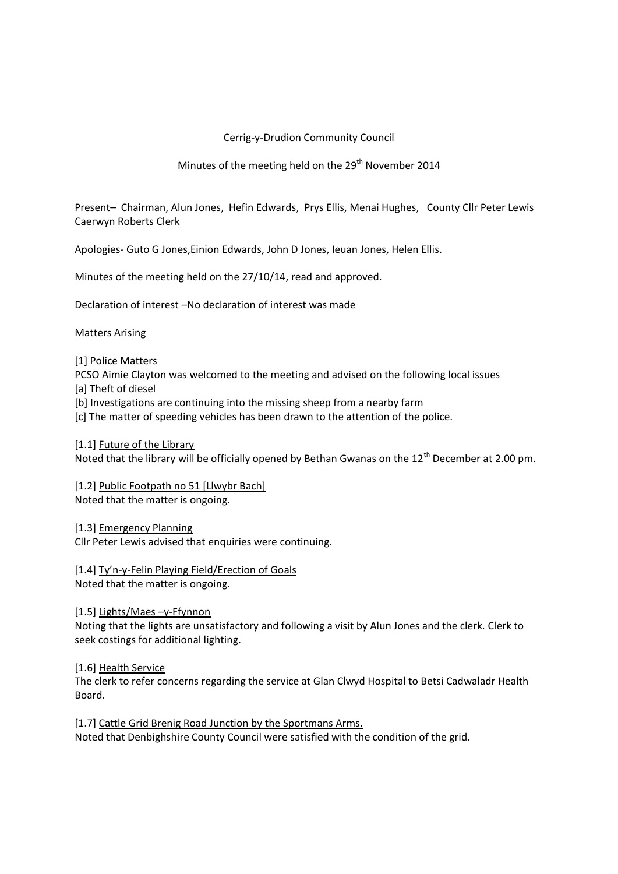# Cerrig-y-Drudion Community Council

## Minutes of the meeting held on the  $29<sup>th</sup>$  November 2014

Present– Chairman, Alun Jones, Hefin Edwards, Prys Ellis, Menai Hughes, County Cllr Peter Lewis Caerwyn Roberts Clerk

Apologies- Guto G Jones,Einion Edwards, John D Jones, Ieuan Jones, Helen Ellis.

Minutes of the meeting held on the 27/10/14, read and approved.

Declaration of interest –No declaration of interest was made

Matters Arising

#### [1] Police Matters

PCSO Aimie Clayton was welcomed to the meeting and advised on the following local issues [a] Theft of diesel

[b] Investigations are continuing into the missing sheep from a nearby farm

[c] The matter of speeding vehicles has been drawn to the attention of the police.

[1.1] Future of the Library

Noted that the library will be officially opened by Bethan Gwanas on the 12<sup>th</sup> December at 2.00 pm.

[1.2] Public Footpath no 51 [Llwybr Bach] Noted that the matter is ongoing.

## [1.3] Emergency Planning

Cllr Peter Lewis advised that enquiries were continuing.

[1.4] Ty'n-y-Felin Playing Field/Erection of Goals Noted that the matter is ongoing.

## [1.5] Lights/Maes –y-Ffynnon

Noting that the lights are unsatisfactory and following a visit by Alun Jones and the clerk. Clerk to seek costings for additional lighting.

[1.6] Health Service

The clerk to refer concerns regarding the service at Glan Clwyd Hospital to Betsi Cadwaladr Health Board.

[1.7] Cattle Grid Brenig Road Junction by the Sportmans Arms. Noted that Denbighshire County Council were satisfied with the condition of the grid.